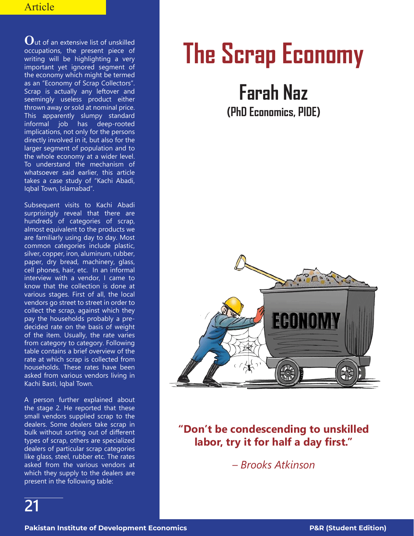## Article

**O**ut of an extensive list of unskilled occupations, the present piece of writing will be highlighting a very important yet ignored segment of the economy which might be termed as an "Economy of Scrap Collectors". Scrap is actually any leftover and seemingly useless product either thrown away or sold at nominal price. This apparently slumpy standard informal job has deep-rooted implications, not only for the persons directly involved in it, but also for the larger segment of population and to the whole economy at a wider level. To understand the mechanism of whatsoever said earlier, this article takes a case study of "Kachi Abadi, Iqbal Town, Islamabad".

Subsequent visits to Kachi Abadi surprisingly reveal that there are hundreds of categories of scrap, almost equivalent to the products we are familiarly using day to day. Most common categories include plastic, silver, copper, iron, aluminum, rubber, paper, dry bread, machinery, glass, cell phones, hair, etc. In an informal interview with a vendor, I came to know that the collection is done at various stages. First of all, the local vendors go street to street in order to collect the scrap, against which they pay the households probably a predecided rate on the basis of weight of the item. Usually, the rate varies from category to category. Following table contains a brief overview of the rate at which scrap is collected from households. These rates have been asked from various vendors living in Kachi Basti, Iqbal Town.

A person further explained about the stage 2. He reported that these small vendors supplied scrap to the dealers. Some dealers take scrap in bulk without sorting out of different types of scrap, others are specialized dealers of particular scrap categories like glass, steel, rubber etc. The rates asked from the various vendors at which they supply to the dealers are present in the following table:

## **The Scrap Economy**

## **Farah Naz**

**(PhD Economics, PIDE)**



## **"Don't be condescending to unskilled labor, try it for half a day first."**

*– Brooks Atkinson*

**21**